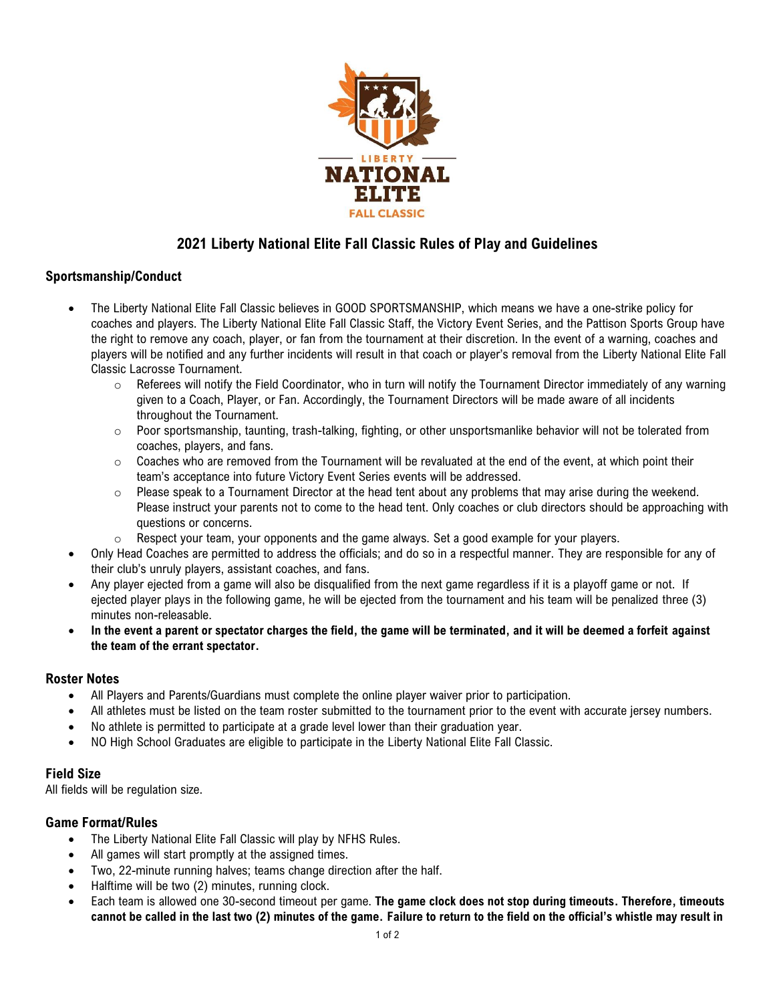

# **2021 Liberty National Elite Fall Classic Rules of Play and Guidelines**

## **Sportsmanship/Conduct**

- The Liberty National Elite Fall Classic believes in GOOD SPORTSMANSHIP, which means we have a one-strike policy for coaches and players. The Liberty National Elite Fall Classic Staff, the Victory Event Series, and the Pattison Sports Group have the right to remove any coach, player, or fan from the tournament at their discretion. In the event of a warning, coaches and players will be notified and any further incidents will result in that coach or player's removal from the Liberty National Elite Fall Classic Lacrosse Tournament.
	- $\circ$  Referees will notify the Field Coordinator, who in turn will notify the Tournament Director immediately of any warning given to a Coach, Player, or Fan. Accordingly, the Tournament Directors will be made aware of all incidents throughout the Tournament.
	- $\circ$  Poor sportsmanship, taunting, trash-talking, fighting, or other unsportsmanlike behavior will not be tolerated from coaches, players, and fans.
	- $\circ$  Coaches who are removed from the Tournament will be revaluated at the end of the event, at which point their team's acceptance into future Victory Event Series events will be addressed.
	- $\circ$  Please speak to a Tournament Director at the head tent about any problems that may arise during the weekend. Please instruct your parents not to come to the head tent. Only coaches or club directors should be approaching with questions or concerns.
	- $\circ$  Respect your team, your opponents and the game always. Set a good example for your players.
- Only Head Coaches are permitted to address the officials; and do so in a respectful manner. They are responsible for any of their club's unruly players, assistant coaches, and fans.
- Any player ejected from a game will also be disqualified from the next game regardless if it is a playoff game or not. If ejected player plays in the following game, he will be ejected from the tournament and his team will be penalized three (3) minutes non-releasable.
- **In the event a parent or spectator charges the field, the game will be terminated, and it will be deemed a forfeit against the team of the errant spectator.**

## **Roster Notes**

- All Players and Parents/Guardians must complete the online player waiver prior to participation.
- All athletes must be listed on the team roster submitted to the tournament prior to the event with accurate jersey numbers.
- No athlete is permitted to participate at a grade level lower than their graduation year.
- NO High School Graduates are eligible to participate in the Liberty National Elite Fall Classic.

#### **Field Size**

All fields will be regulation size.

## **Game Format/Rules**

- The Liberty National Elite Fall Classic will play by NFHS Rules.
- All games will start promptly at the assigned times.
- Two, 22-minute running halves; teams change direction after the half.
- Halftime will be two (2) minutes, running clock.
- Each team is allowed one 30-second timeout per game. **The game clock does not stop during timeouts. Therefore, timeouts cannot be called in the last two (2) minutes of the game. Failure to return to the field on the official's whistle may result in**